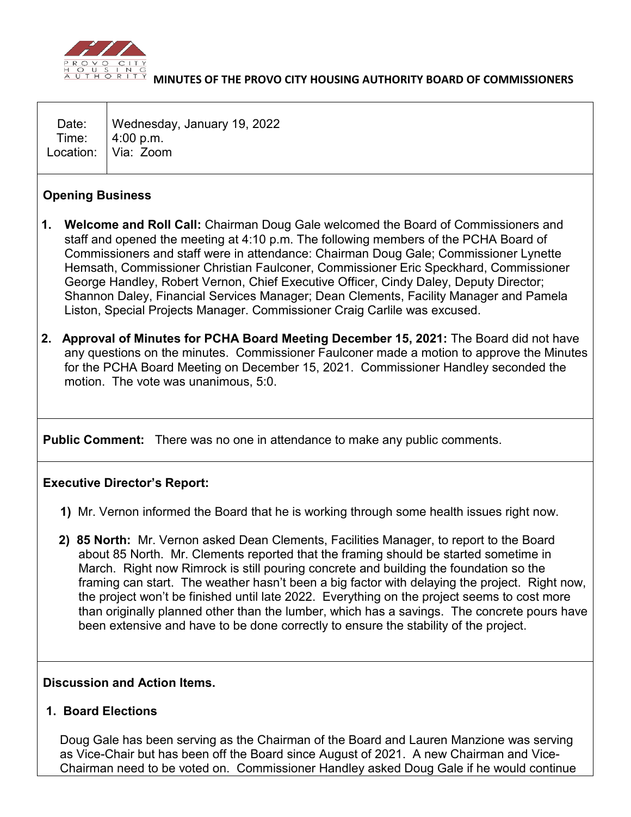

## **MINUTES OF THE PROVO CITY HOUSING AUTHORITY BOARD OF COMMISSIONERS**

| Date:   Wednesday, January 19, 2022    |
|----------------------------------------|
| Time: 4:00 p.m.<br>Location: Via: Zoom |
|                                        |

## **Opening Business**

- **1. Welcome and Roll Call:** Chairman Doug Gale welcomed the Board of Commissioners and staff and opened the meeting at 4:10 p.m. The following members of the PCHA Board of Commissioners and staff were in attendance: Chairman Doug Gale; Commissioner Lynette Hemsath, Commissioner Christian Faulconer, Commissioner Eric Speckhard, Commissioner George Handley, Robert Vernon, Chief Executive Officer, Cindy Daley, Deputy Director; Shannon Daley, Financial Services Manager; Dean Clements, Facility Manager and Pamela Liston, Special Projects Manager. Commissioner Craig Carlile was excused.
- **2. Approval of Minutes for PCHA Board Meeting December 15, 2021:** The Board did not have any questions on the minutes. Commissioner Faulconer made a motion to approve the Minutes for the PCHA Board Meeting on December 15, 2021. Commissioner Handley seconded the motion. The vote was unanimous, 5:0.

**Public Comment:** There was no one in attendance to make any public comments.

## **Executive Director's Report:**

- **1)** Mr. Vernon informed the Board that he is working through some health issues right now.
- **2) 85 North:** Mr. Vernon asked Dean Clements, Facilities Manager, to report to the Board about 85 North. Mr. Clements reported that the framing should be started sometime in March. Right now Rimrock is still pouring concrete and building the foundation so the framing can start. The weather hasn't been a big factor with delaying the project. Right now, the project won't be finished until late 2022. Everything on the project seems to cost more than originally planned other than the lumber, which has a savings. The concrete pours have been extensive and have to be done correctly to ensure the stability of the project.

## **Discussion and Action Items.**

**1. Board Elections**

Doug Gale has been serving as the Chairman of the Board and Lauren Manzione was serving as Vice-Chair but has been off the Board since August of 2021. A new Chairman and Vice-Chairman need to be voted on. Commissioner Handley asked Doug Gale if he would continue